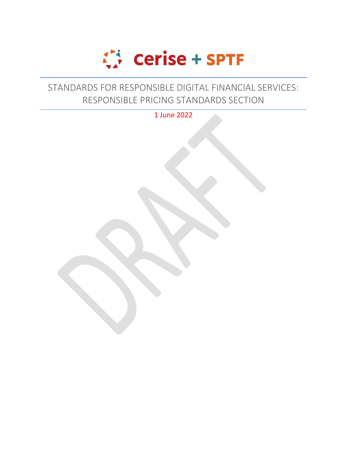

# STANDARDS FOR RESPONSIBLE DIGITAL FINANCIAL SERVICES: RESPONSIBLE PRICING STANDARDS SECTION

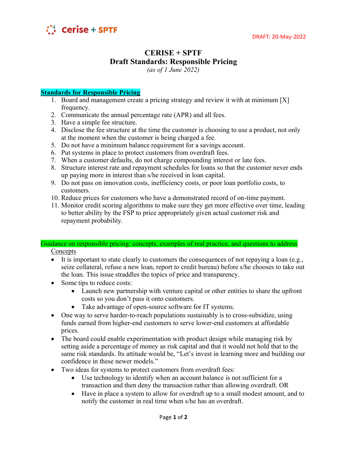

# **CERISE + SPTF Draft Standards: Responsible Pricing**

*(as of 1 June 2022)*

## **Standards for Responsible Pricing**

- 1. Board and management create a pricing strategy and review it with at minimum [X] frequency.
- 2. Communicate the annual percentage rate (APR) and all fees.
- 3. Have a simple fee structure.
- 4. Disclose the fee structure at the time the customer is choosing to use a product, not only at the moment when the customer is being charged a fee.
- 5. Do not have a minimum balance requirement for a savings account.
- 6. Put systems in place to protect customers from overdraft fees.
- 7. When a customer defaults, do not charge compounding interest or late fees.
- 8. Structure interest rate and repayment schedules for loans so that the customer never ends up paying more in interest than s/he received in loan capital.
- 9. Do not pass on innovation costs, inefficiency costs, or poor loan portfolio costs, to customers.
- 10. Reduce prices for customers who have a demonstrated record of on-time payment.
- 11. Monitor credit scoring algorithms to make sure they get more effective over time, leading to better ability by the FSP to price appropriately given actual customer risk and repayment probability.

#### Guidance on responsible pricing: concepts, examples of real practice, and questions to address Concepts

- It is important to state clearly to customers the consequences of not repaying a loan (e.g., seize collateral, refuse a new loan, report to credit bureau) before s/he chooses to take out the loan. This issue straddles the topics of price and transparency.
- Some tips to reduce costs:
	- Launch new partnership with venture capital or other entities to share the upfront costs so you don't pass it onto customers.
	- Take advantage of open-source software for IT systems.
- One way to serve harder-to-reach populations sustainably is to cross-subsidize, using funds earned from higher-end customers to serve lower-end customers at affordable prices.
- The board could enable experimentation with product design while managing risk by setting aside a percentage of money as risk capital and that it would not hold that to the same risk standards. Its attitude would be, "Let's invest in learning more and building our confidence in these newer models."
- Two ideas for systems to protect customers from overdraft fees:
	- Use technology to identify when an account balance is not sufficient for a transaction and then deny the transaction rather than allowing overdraft. OR
	- Have in place a system to allow for overdraft up to a small modest amount, and to notify the customer in real time when s/he has an overdraft.